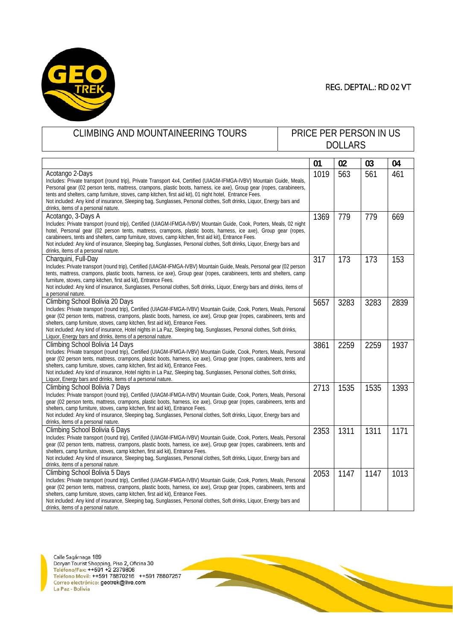

## REG. DEPTAL.: RD 02 VT

| <b>CLIMBING AND MOUNTAINEERING TOURS</b>                                                                                                                                                                                                        | PRICE PER PERSON IN US |                |      |      |      |
|-------------------------------------------------------------------------------------------------------------------------------------------------------------------------------------------------------------------------------------------------|------------------------|----------------|------|------|------|
|                                                                                                                                                                                                                                                 |                        | <b>DOLLARS</b> |      |      |      |
|                                                                                                                                                                                                                                                 |                        |                |      |      |      |
|                                                                                                                                                                                                                                                 |                        | 01             | 02   | 03   | 04   |
| Acotango 2-Days                                                                                                                                                                                                                                 |                        | 1019           | 563  | 561  | 461  |
| Includes: Private transport (round trip), Private Transport 4x4, Certified (UIAGM-IFMGA-IVBV) Mountain Guide, Meals,                                                                                                                            |                        |                |      |      |      |
| Personal gear (02 person tents, mattress, crampons, plastic boots, harness, ice axe), Group gear (ropes, carabineers,                                                                                                                           |                        |                |      |      |      |
| tents and shelters, camp furniture, stoves, camp kitchen, first aid kit), 01 night hotel, Entrance Fees.                                                                                                                                        |                        |                |      |      |      |
| Not included: Any kind of insurance, Sleeping bag, Sunglasses, Personal clothes, Soft drinks, Liguor, Energy bars and                                                                                                                           |                        |                |      |      |      |
| drinks, items of a personal nature.                                                                                                                                                                                                             |                        |                |      |      |      |
| Acotango, 3-Days A                                                                                                                                                                                                                              |                        | 1369           | 779  | 779  | 669  |
| Includes: Private transport (round trip), Certified (UIAGM-IFMGA-IVBV) Mountain Guide, Cook, Porters, Meals, 02 night                                                                                                                           |                        |                |      |      |      |
| hotel, Personal gear (02 person tents, mattress, crampons, plastic boots, harness, ice axe), Group gear (ropes,                                                                                                                                 |                        |                |      |      |      |
| carabineers, tents and shelters, camp furniture, stoves, camp kitchen, first aid kit), Entrance Fees.                                                                                                                                           |                        |                |      |      |      |
| Not included: Any kind of insurance, Sleeping bag, Sunglasses, Personal clothes, Soft drinks, Liguor, Energy bars and                                                                                                                           |                        |                |      |      |      |
| drinks, items of a personal nature.                                                                                                                                                                                                             |                        |                |      |      |      |
| Charquini, Full-Day                                                                                                                                                                                                                             |                        | 317            | 173  | 173  | 153  |
| Includes: Private transport (round trip), Certified (UIAGM-IFMGA-IVBV) Mountain Guide, Meals, Personal gear (02 person                                                                                                                          |                        |                |      |      |      |
| tents, mattress, crampons, plastic boots, harness, ice axe), Group gear (ropes, carabineers, tents and shelters, camp                                                                                                                           |                        |                |      |      |      |
| furniture, stoves, camp kitchen, first aid kit), Entrance Fees.                                                                                                                                                                                 |                        |                |      |      |      |
| Not included: Any kind of insurance, Sunglasses, Personal clothes, Soft drinks, Liquor, Energy bars and drinks, items of<br>a personal nature.                                                                                                  |                        |                |      |      |      |
|                                                                                                                                                                                                                                                 |                        |                |      |      |      |
| Climbing School Bolivia 20 Days                                                                                                                                                                                                                 |                        | 5657           | 3283 | 3283 | 2839 |
| Includes: Private transport (round trip), Certified (UIAGM-IFMGA-IVBV) Mountain Guide, Cook, Porters, Meals, Personal<br>gear (02 person tents, mattress, crampons, plastic boots, harness, ice axe), Group gear (ropes, carabineers, tents and |                        |                |      |      |      |
| shelters, camp furniture, stoves, camp kitchen, first aid kit), Entrance Fees.                                                                                                                                                                  |                        |                |      |      |      |
| Not included: Any kind of insurance, Hotel nights in La Paz, Sleeping bag, Sunglasses, Personal clothes, Soft drinks,                                                                                                                           |                        |                |      |      |      |
| Liquor, Energy bars and drinks, items of a personal nature.                                                                                                                                                                                     |                        |                |      |      |      |
| Climbing School Bolivia 14 Days                                                                                                                                                                                                                 |                        | 3861           | 2259 | 2259 | 1937 |
| Includes: Private transport (round trip), Certified (UIAGM-IFMGA-IVBV) Mountain Guide, Cook, Porters, Meals, Personal                                                                                                                           |                        |                |      |      |      |
| gear (02 person tents, mattress, crampons, plastic boots, harness, ice axe), Group gear (ropes, carabineers, tents and                                                                                                                          |                        |                |      |      |      |
| shelters, camp furniture, stoves, camp kitchen, first aid kit), Entrance Fees.                                                                                                                                                                  |                        |                |      |      |      |
| Not included: Any kind of insurance, Hotel nights in La Paz, Sleeping bag, Sunglasses, Personal clothes, Soft drinks,                                                                                                                           |                        |                |      |      |      |
| Liquor, Energy bars and drinks, items of a personal nature.                                                                                                                                                                                     |                        |                |      |      |      |
| Climbing School Bolivia 7 Days                                                                                                                                                                                                                  |                        | 2713           | 1535 | 1535 | 1393 |
| Includes: Private transport (round trip), Certified (UIAGM-IFMGA-IVBV) Mountain Guide, Cook, Porters, Meals, Personal                                                                                                                           |                        |                |      |      |      |
| gear (02 person tents, mattress, crampons, plastic boots, harness, ice axe), Group gear (ropes, carabineers, tents and                                                                                                                          |                        |                |      |      |      |
| shelters, camp furniture, stoves, camp kitchen, first aid kit), Entrance Fees.                                                                                                                                                                  |                        |                |      |      |      |
| Not included: Any kind of insurance, Sleeping bag, Sunglasses, Personal clothes, Soft drinks, Liquor, Energy bars and                                                                                                                           |                        |                |      |      |      |
| drinks, items of a personal nature.                                                                                                                                                                                                             |                        |                |      |      |      |
| Climbing School Bolivia 6 Days                                                                                                                                                                                                                  |                        | 2353           | 1311 | 1311 | 1171 |
| Includes: Private transport (round trip), Certified (UIAGM-IFMGA-IVBV) Mountain Guide, Cook, Porters, Meals, Personal                                                                                                                           |                        |                |      |      |      |
| gear (02 person tents, mattress, crampons, plastic boots, harness, ice axe), Group gear (ropes, carabineers, tents and                                                                                                                          |                        |                |      |      |      |
| shelters, camp furniture, stoves, camp kitchen, first aid kit), Entrance Fees.<br>Not included: Any kind of insurance, Sleeping bag, Sunglasses, Personal clothes, Soft drinks, Liquor, Energy bars and                                         |                        |                |      |      |      |
| drinks, items of a personal nature                                                                                                                                                                                                              |                        |                |      |      |      |
| Climbing School Bolivia 5 Days                                                                                                                                                                                                                  |                        | 2053           | 1147 | 1147 | 1013 |
| Includes: Private transport (round trip), Certified (UIAGM-IFMGA-IVBV) Mountain Guide, Cook, Porters, Meals, Personal                                                                                                                           |                        |                |      |      |      |
| gear (02 person tents, mattress, crampons, plastic boots, harness, ice axe), Group gear (ropes, carabineers, tents and                                                                                                                          |                        |                |      |      |      |
| shelters, camp furniture, stoves, camp kitchen, first aid kit), Entrance Fees.                                                                                                                                                                  |                        |                |      |      |      |
| Not included: Any kind of insurance, Sleeping bag, Sunglasses, Personal clothes, Soft drinks, Liguor, Energy bars and                                                                                                                           |                        |                |      |      |      |
| drinks, items of a personal nature.                                                                                                                                                                                                             |                        |                |      |      |      |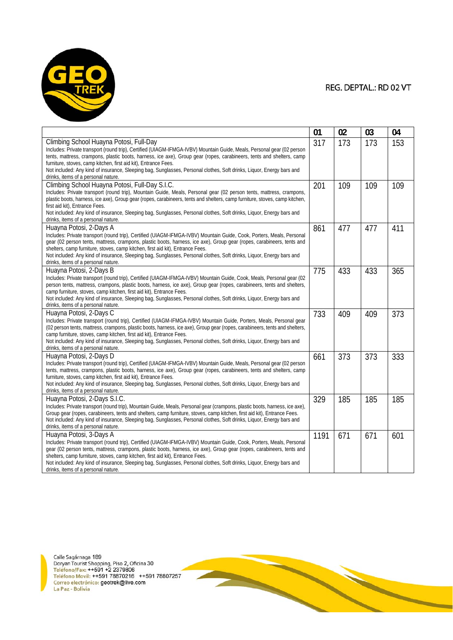

|                                                                                                                                                                                                                                                                                                                                                                                                                                                                                                                               | 01   | 02  | 03  | 04  |
|-------------------------------------------------------------------------------------------------------------------------------------------------------------------------------------------------------------------------------------------------------------------------------------------------------------------------------------------------------------------------------------------------------------------------------------------------------------------------------------------------------------------------------|------|-----|-----|-----|
| Climbing School Huayna Potosi, Full-Day<br>Includes: Private transport (round trip), Certified (UIAGM-IFMGA-IVBV) Mountain Guide, Meals, Personal gear (02 person<br>tents, mattress, crampons, plastic boots, harness, ice axe), Group gear (ropes, carabineers, tents and shelters, camp<br>furniture, stoves, camp kitchen, first aid kit), Entrance Fees.<br>Not included: Any kind of insurance, Sleeping bag, Sunglasses, Personal clothes, Soft drinks, Liguor, Energy bars and<br>drinks, items of a personal nature. | 317  | 173 | 173 | 153 |
| Climbing School Huayna Potosi, Full-Day S.I.C.<br>Includes: Private transport (round trip), Mountain Guide, Meals, Personal gear (02 person tents, mattress, crampons,<br>plastic boots, harness, ice axe), Group gear (ropes, carabineers, tents and shelters, camp furniture, stoves, camp kitchen,<br>first aid kit), Entrance Fees.<br>Not included: Any kind of insurance, Sleeping bag, Sunglasses, Personal clothes, Soft drinks, Liguor, Energy bars and<br>drinks, items of a personal nature.                       | 201  | 109 | 109 | 109 |
| Huayna Potosi, 2-Days A<br>Includes: Private transport (round trip), Certified (UIAGM-IFMGA-IVBV) Mountain Guide, Cook, Porters, Meals, Personal<br>gear (02 person tents, mattress, crampons, plastic boots, harness, ice axe), Group gear (ropes, carabineers, tents and<br>shelters, camp furniture, stoves, camp kitchen, first aid kit), Entrance Fees.<br>Not included: Any kind of insurance, Sleeping bag, Sunglasses, Personal clothes, Soft drinks, Liquor, Energy bars and<br>drinks, items of a personal nature.  | 861  | 477 | 477 | 411 |
| Huayna Potosi, 2-Days B<br>Includes: Private transport (round trip), Certified (UIAGM-IFMGA-IVBV) Mountain Guide, Cook, Meals, Personal gear (02<br>person tents, mattress, crampons, plastic boots, harness, ice axe), Group gear (ropes, carabineers, tents and shelters,<br>camp furniture, stoves, camp kitchen, first aid kit), Entrance Fees.<br>Not included: Any kind of insurance, Sleeping bag, Sunglasses, Personal clothes, Soft drinks, Liquor, Energy bars and<br>drinks, items of a personal nature.           | 775  | 433 | 433 | 365 |
| Huayna Potosi, 2-Days C<br>Includes: Private transport (round trip), Certified (UIAGM-IFMGA-IVBV) Mountain Guide, Porters, Meals, Personal gear<br>(02 person tents, mattress, crampons, plastic boots, harness, ice axe), Group gear (ropes, carabineers, tents and shelters,<br>camp furniture, stoves, camp kitchen, first aid kit), Entrance Fees.<br>Not included: Any kind of insurance, Sleeping bag, Sunglasses, Personal clothes, Soft drinks, Liquor, Energy bars and<br>drinks, items of a personal nature.        | 733  | 409 | 409 | 373 |
| Huayna Potosi, 2-Days D<br>Includes: Private transport (round trip), Certified (UIAGM-IFMGA-IVBV) Mountain Guide, Meals, Personal gear (02 person<br>tents, mattress, crampons, plastic boots, harness, ice axe), Group gear (ropes, carabineers, tents and shelters, camp<br>furniture, stoves, camp kitchen, first aid kit), Entrance Fees.<br>Not included: Any kind of insurance, Sleeping bag, Sunglasses, Personal clothes, Soft drinks, Liquor, Energy bars and<br>drinks, items of a personal nature.                 | 661  | 373 | 373 | 333 |
| Huayna Potosi, 2-Days S.I.C.<br>Includes: Private transport (round trip), Mountain Guide, Meals, Personal gear (crampons, plastic boots, harness, ice axe),<br>Group gear (ropes, carabineers, tents and shelters, camp furniture, stoves, camp kitchen, first aid kit), Entrance Fees.<br>Not included: Any kind of insurance, Sleeping bag, Sunglasses, Personal clothes, Soft drinks, Liquor, Energy bars and<br>drinks, items of a personal nature.                                                                       | 329  | 185 | 185 | 185 |
| Huayna Potosi, 3-Days A<br>Includes: Private transport (round trip), Certified (UIAGM-IFMGA-IVBV) Mountain Guide, Cook, Porters, Meals, Personal<br>gear (02 person tents, mattress, crampons, plastic boots, harness, ice axe), Group gear (ropes, carabineers, tents and<br>shelters, camp furniture, stoves, camp kitchen, first aid kit), Entrance Fees.<br>Not included: Any kind of insurance, Sleeping bag, Sunglasses, Personal clothes, Soft drinks, Liquor, Energy bars and<br>drinks itams of a narsonal natural   | 1191 | 671 | 671 | 601 |

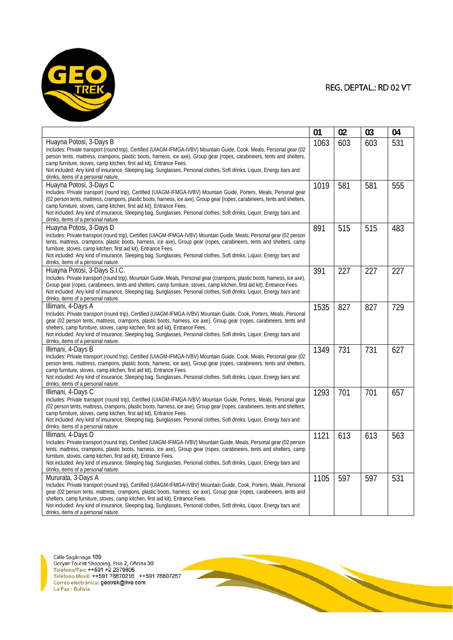

|                                                                                                                                                                                                                                                 | 01   | 02  | 03  | 04  |
|-------------------------------------------------------------------------------------------------------------------------------------------------------------------------------------------------------------------------------------------------|------|-----|-----|-----|
| Huayna Potosi, 3-Days B                                                                                                                                                                                                                         | 1063 | 603 | 603 | 531 |
| Includes: Private transport (round trip), Certified (UIAGM-IFMGA-IVBV) Mountain Guide, Cook, Meals, Personal gear (02                                                                                                                           |      |     |     |     |
| person tents, mattress, crampons, plastic boots, harness, ice axe), Group gear (ropes, carabineers, tents and shelters,                                                                                                                         |      |     |     |     |
| camp furniture, stoves, camp kitchen, first aid kit), Entrance Fees.                                                                                                                                                                            |      |     |     |     |
| Not included: Any kind of insurance, Sleeping bag, Sunglasses, Personal clothes, Soft drinks, Liquor, Energy bars and                                                                                                                           |      |     |     |     |
| drinks, items of a personal nature.                                                                                                                                                                                                             |      |     |     |     |
| Huayna Potosi, 3-Days C                                                                                                                                                                                                                         | 1019 | 581 | 581 | 555 |
| Includes: Private transport (round trip), Certified (UIAGM-IFMGA-IVBV) Mountain Guide, Porters, Meals, Personal gear                                                                                                                            |      |     |     |     |
| (02 person tents, mattress, crampons, plastic boots, harness, ice axe), Group gear (ropes, carabineers, tents and shelters,                                                                                                                     |      |     |     |     |
| camp furniture, stoves, camp kitchen, first aid kit), Entrance Fees.                                                                                                                                                                            |      |     |     |     |
| Not included: Any kind of insurance, Sleeping bag, Sunglasses, Personal clothes, Soft drinks, Liquor, Energy bars and                                                                                                                           |      |     |     |     |
| drinks, items of a personal nature.                                                                                                                                                                                                             |      |     |     |     |
| Huayna Potosi, 3-Days D                                                                                                                                                                                                                         | 891  | 515 | 515 | 483 |
| Includes: Private transport (round trip), Certified (UIAGM-IFMGA-IVBV) Mountain Guide, Meals, Personal gear (02 person<br>tents, mattress, crampons, plastic boots, harness, ice axe), Group gear (ropes, carabineers, tents and shelters, camp |      |     |     |     |
| furniture, stoves, camp kitchen, first aid kit), Entrance Fees.                                                                                                                                                                                 |      |     |     |     |
| Not included: Any kind of insurance, Sleeping bag, Sunglasses, Personal clothes, Soft drinks, Liguor, Energy bars and                                                                                                                           |      |     |     |     |
| drinks, items of a personal nature.                                                                                                                                                                                                             |      |     |     |     |
| Huayna Potosi, 3-Days S.I.C.                                                                                                                                                                                                                    | 391  | 227 | 227 | 227 |
| Includes: Private transport (round trip), Mountain Guide, Meals, Personal gear (crampons, plastic boots, harness, ice axe),                                                                                                                     |      |     |     |     |
| Group gear (ropes, carabineers, tents and shelters, camp furniture, stoves, camp kitchen, first aid kit), Entrance Fees.                                                                                                                        |      |     |     |     |
| Not included: Any kind of insurance, Sleeping bag, Sunglasses, Personal clothes, Soft drinks, Liguor, Energy bars and                                                                                                                           |      |     |     |     |
| drinks, items of a personal nature.                                                                                                                                                                                                             |      |     |     |     |
| Illimani, 4-Days A                                                                                                                                                                                                                              | 1535 | 827 | 827 | 729 |
| Includes: Private transport (round trip), Certified (UIAGM-IFMGA-IVBV) Mountain Guide, Cook, Porters, Meals, Personal                                                                                                                           |      |     |     |     |
| gear (02 person tents, mattress, crampons, plastic boots, harness, ice axe), Group gear (ropes, carabineers, tents and                                                                                                                          |      |     |     |     |
| shelters, camp furniture, stoves, camp kitchen, first aid kit), Entrance Fees.                                                                                                                                                                  |      |     |     |     |
| Not included: Any kind of insurance, Sleeping bag, Sunglasses, Personal clothes, Soft drinks, Liquor, Energy bars and                                                                                                                           |      |     |     |     |
| drinks, items of a personal nature.                                                                                                                                                                                                             |      |     |     |     |
| Illimani, 4-Days B                                                                                                                                                                                                                              | 1349 | 731 | 731 | 627 |
| Includes: Private transport (round trip), Certified (UIAGM-IFMGA-IVBV) Mountain Guide, Cook, Meals, Personal gear (02                                                                                                                           |      |     |     |     |
| person tents, mattress, crampons, plastic boots, harness, ice axe), Group gear (ropes, carabineers, tents and shelters,                                                                                                                         |      |     |     |     |
| camp furniture, stoves, camp kitchen, first aid kit), Entrance Fees.                                                                                                                                                                            |      |     |     |     |
| Not included: Any kind of insurance, Sleeping bag, Sunglasses, Personal clothes, Soft drinks, Liguor, Energy bars and                                                                                                                           |      |     |     |     |
| drinks, items of a personal nature.                                                                                                                                                                                                             |      |     |     |     |
| Illimani, 4-Days C                                                                                                                                                                                                                              | 1293 | 701 | 701 | 657 |
| Includes: Private transport (round trip), Certified (UIAGM-IFMGA-IVBV) Mountain Guide, Porters, Meals, Personal gear                                                                                                                            |      |     |     |     |
| (02 person tents, mattress, crampons, plastic boots, harness, ice axe), Group gear (ropes, carabineers, tents and shelters,<br>camp furniture, stoves, camp kitchen, first aid kit), Entrance Fees.                                             |      |     |     |     |
| Not included: Any kind of insurance, Sleeping bag, Sunglasses, Personal clothes, Soft drinks, Liguor, Energy bars and                                                                                                                           |      |     |     |     |
| drinks, items of a personal nature.                                                                                                                                                                                                             |      |     |     |     |
| Illimani, 4-Days D                                                                                                                                                                                                                              | 1121 | 613 | 613 | 563 |
| Includes: Private transport (round trip), Certified (UIAGM-IFMGA-IVBV) Mountain Guide, Meals, Personal gear (02 person                                                                                                                          |      |     |     |     |
| tents, mattress, crampons, plastic boots, harness, ice axe), Group gear (ropes, carabineers, tents and shelters, camp                                                                                                                           |      |     |     |     |
| furniture, stoves, camp kitchen, first aid kit), Entrance Fees.                                                                                                                                                                                 |      |     |     |     |
| Not included: Any kind of insurance, Sleeping bag, Sunglasses, Personal clothes, Soft drinks, Liguor, Energy bars and                                                                                                                           |      |     |     |     |
| drinks, items of a personal nature.                                                                                                                                                                                                             |      |     |     |     |
| Mururata, 3-Days A                                                                                                                                                                                                                              | 1105 | 597 | 597 | 531 |
| Includes: Private transport (round trip), Certified (UIAGM-IFMGA-IVBV) Mountain Guide, Cook, Porters, Meals, Personal                                                                                                                           |      |     |     |     |
| gear (02 person tents, mattress, crampons, plastic boots, harness, ice axe), Group gear (ropes, carabineers, tents and                                                                                                                          |      |     |     |     |
| shelters, camp furniture, stoves, camp kitchen, first aid kit), Entrance Fees.                                                                                                                                                                  |      |     |     |     |
| Not included: Any kind of insurance, Sleeping bag, Sunglasses, Personal clothes, Soft drinks, Liquor, Energy bars and                                                                                                                           |      |     |     |     |
| drinks, items of a personal nature.                                                                                                                                                                                                             |      |     |     |     |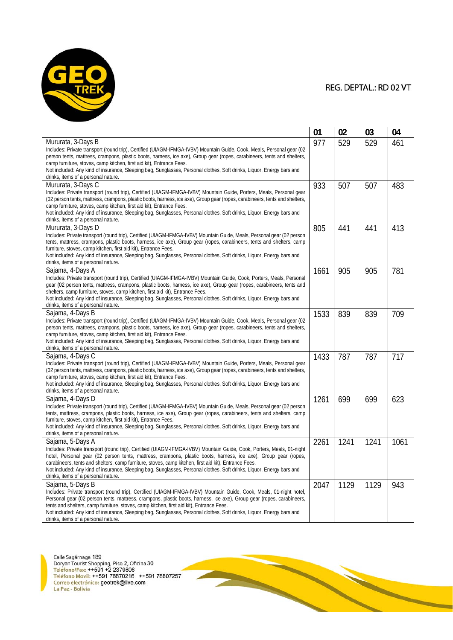

|                                                                                                                                                                                                                                                 | 01   | 02   | 03   | 04   |
|-------------------------------------------------------------------------------------------------------------------------------------------------------------------------------------------------------------------------------------------------|------|------|------|------|
| Mururata, 3-Days B                                                                                                                                                                                                                              | 977  | 529  | 529  | 461  |
| Includes: Private transport (round trip), Certified (UIAGM-IFMGA-IVBV) Mountain Guide, Cook, Meals, Personal gear (02                                                                                                                           |      |      |      |      |
| person tents, mattress, crampons, plastic boots, harness, ice axe), Group gear (ropes, carabineers, tents and shelters,                                                                                                                         |      |      |      |      |
| camp furniture, stoves, camp kitchen, first aid kit), Entrance Fees.                                                                                                                                                                            |      |      |      |      |
| Not included: Any kind of insurance, Sleeping bag, Sunglasses, Personal clothes, Soft drinks, Liquor, Energy bars and                                                                                                                           |      |      |      |      |
| drinks, items of a personal nature.                                                                                                                                                                                                             |      |      |      |      |
| Mururata, 3-Days C                                                                                                                                                                                                                              | 933  | 507  | 507  | 483  |
| Includes: Private transport (round trip), Certified (UIAGM-IFMGA-IVBV) Mountain Guide, Porters, Meals, Personal gear                                                                                                                            |      |      |      |      |
| (02 person tents, mattress, crampons, plastic boots, harness, ice axe), Group gear (ropes, carabineers, tents and shelters,                                                                                                                     |      |      |      |      |
| camp furniture, stoves, camp kitchen, first aid kit), Entrance Fees.                                                                                                                                                                            |      |      |      |      |
| Not included: Any kind of insurance, Sleeping bag, Sunglasses, Personal clothes, Soft drinks, Liquor, Energy bars and<br>drinks, items of a personal nature.                                                                                    |      |      |      |      |
|                                                                                                                                                                                                                                                 |      |      |      |      |
| Mururata, 3-Days D                                                                                                                                                                                                                              | 805  | 441  | 441  | 413  |
| Includes: Private transport (round trip), Certified (UIAGM-IFMGA-IVBV) Mountain Guide, Meals, Personal gear (02 person<br>tents, mattress, crampons, plastic boots, harness, ice axe), Group gear (ropes, carabineers, tents and shelters, camp |      |      |      |      |
| furniture, stoves, camp kitchen, first aid kit), Entrance Fees.                                                                                                                                                                                 |      |      |      |      |
| Not included: Any kind of insurance, Sleeping bag, Sunglasses, Personal clothes, Soft drinks, Liguor, Energy bars and                                                                                                                           |      |      |      |      |
| drinks, items of a personal nature.                                                                                                                                                                                                             |      |      |      |      |
| Sajama, 4-Days A                                                                                                                                                                                                                                | 1661 | 905  | 905  | 781  |
| Includes: Private transport (round trip), Certified (UIAGM-IFMGA-IVBV) Mountain Guide, Cook, Porters, Meals, Personal                                                                                                                           |      |      |      |      |
| gear (02 person tents, mattress, crampons, plastic boots, harness, ice axe), Group gear (ropes, carabineers, tents and                                                                                                                          |      |      |      |      |
| shelters, camp furniture, stoves, camp kitchen, first aid kit), Entrance Fees.                                                                                                                                                                  |      |      |      |      |
| Not included: Any kind of insurance, Sleeping bag, Sunglasses, Personal clothes, Soft drinks, Liquor, Energy bars and                                                                                                                           |      |      |      |      |
| drinks, items of a personal nature.                                                                                                                                                                                                             |      |      |      |      |
| Sajama, 4-Days B                                                                                                                                                                                                                                | 1533 | 839  | 839  | 709  |
| Includes: Private transport (round trip), Certified (UIAGM-IFMGA-IVBV) Mountain Guide, Cook, Meals, Personal gear (02                                                                                                                           |      |      |      |      |
| person tents, mattress, crampons, plastic boots, harness, ice axe), Group gear (ropes, carabineers, tents and shelters,                                                                                                                         |      |      |      |      |
| camp furniture, stoves, camp kitchen, first aid kit), Entrance Fees.                                                                                                                                                                            |      |      |      |      |
| Not included: Any kind of insurance, Sleeping bag, Sunglasses, Personal clothes, Soft drinks, Liquor, Energy bars and                                                                                                                           |      |      |      |      |
| drinks, items of a personal nature.                                                                                                                                                                                                             |      |      |      |      |
| Sajama, 4-Days C                                                                                                                                                                                                                                | 1433 | 787  | 787  | 717  |
| Includes: Private transport (round trip), Certified (UIAGM-IFMGA-IVBV) Mountain Guide, Porters, Meals, Personal gear                                                                                                                            |      |      |      |      |
| (02 person tents, mattress, crampons, plastic boots, harness, ice axe), Group gear (ropes, carabineers, tents and shelters,<br>camp furniture, stoves, camp kitchen, first aid kit), Entrance Fees.                                             |      |      |      |      |
| Not included: Any kind of insurance, Sleeping bag, Sunglasses, Personal clothes, Soft drinks, Liguor, Energy bars and                                                                                                                           |      |      |      |      |
| drinks, items of a personal nature.                                                                                                                                                                                                             |      |      |      |      |
| Sajama, 4-Days D                                                                                                                                                                                                                                | 1261 | 699  | 699  | 623  |
| Includes: Private transport (round trip), Certified (UIAGM-IFMGA-IVBV) Mountain Guide, Meals, Personal gear (02 person                                                                                                                          |      |      |      |      |
| tents, mattress, crampons, plastic boots, harness, ice axe), Group gear (ropes, carabineers, tents and shelters, camp                                                                                                                           |      |      |      |      |
| furniture, stoves, camp kitchen, first aid kit), Entrance Fees.                                                                                                                                                                                 |      |      |      |      |
| Not included: Any kind of insurance, Sleeping bag, Sunglasses, Personal clothes, Soft drinks, Liguor, Energy bars and                                                                                                                           |      |      |      |      |
| drinks, items of a personal nature.                                                                                                                                                                                                             |      |      |      |      |
| Sajama, 5-Days A                                                                                                                                                                                                                                | 2261 | 1241 | 1241 | 1061 |
| Includes: Private transport (round trip), Certified (UIAGM-IFMGA-IVBV) Mountain Guide, Cook, Porters, Meals, 01-night                                                                                                                           |      |      |      |      |
| hotel, Personal gear (02 person tents, mattress, crampons, plastic boots, harness, ice axe), Group gear (ropes,                                                                                                                                 |      |      |      |      |
| carabineers, tents and shelters, camp furniture, stoves, camp kitchen, first aid kit), Entrance Fees.                                                                                                                                           |      |      |      |      |
| Not included: Any kind of insurance, Sleeping bag, Sunglasses, Personal clothes, Soft drinks, Liguor, Energy bars and<br>drinks, items of a personal nature.                                                                                    |      |      |      |      |
|                                                                                                                                                                                                                                                 |      |      |      |      |
| Sajama, 5-Days B                                                                                                                                                                                                                                | 2047 | 1129 | 1129 | 943  |
| Includes: Private transport (round trip), Certified (UIAGM-IFMGA-IVBV) Mountain Guide, Cook, Meals, 01-night hotel,<br>Personal gear (02 person tents, mattress, crampons, plastic boots, harness, ice axe), Group gear (ropes, carabineers,    |      |      |      |      |
| tents and shelters, camp furniture, stoves, camp kitchen, first aid kit), Entrance Fees.                                                                                                                                                        |      |      |      |      |
| Not included: Any kind of insurance, Sleeping bag, Sunglasses, Personal clothes, Soft drinks, Liquor, Energy bars and                                                                                                                           |      |      |      |      |
| drinks, items of a personal nature.                                                                                                                                                                                                             |      |      |      |      |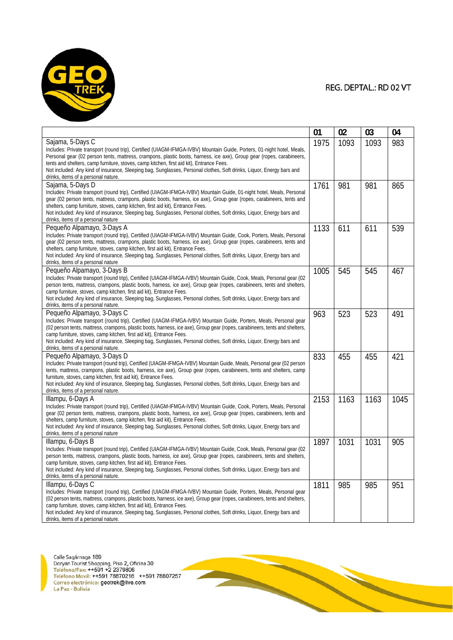

| Sajama, 5-Days C<br>983<br>1975<br>1093<br>1093<br>Includes: Private transport (round trip), Certified (UIAGM-IFMGA-IVBV) Mountain Guide, Porters, 01-night hotel, Meals,<br>Personal gear (02 person tents, mattress, crampons, plastic boots, harness, ice axe), Group gear (ropes, carabineers,<br>tents and shelters, camp furniture, stoves, camp kitchen, first aid kit), Entrance Fees.<br>Not included: Any kind of insurance, Sleeping bag, Sunglasses, Personal clothes, Soft drinks, Liguor, Energy bars and<br>drinks, items of a personal nature.<br>Sajama, 5-Days D<br>1761<br>981<br>981<br>865<br>Includes: Private transport (round trip), Certified (UIAGM-IFMGA-IVBV) Mountain Guide, 01-night hotel, Meals, Personal<br>gear (02 person tents, mattress, crampons, plastic boots, harness, ice axe), Group gear (ropes, carabineers, tents and<br>shelters, camp furniture, stoves, camp kitchen, first aid kit), Entrance Fees.<br>Not included: Any kind of insurance, Sleeping bag, Sunglasses, Personal clothes, Soft drinks, Liguor, Energy bars and<br>drinks, items of a personal nature<br>611<br>1133<br>611<br>539<br>Pequeño Alpamayo, 3-Days A<br>Includes: Private transport (round trip), Certified (UIAGM-IFMGA-IVBV) Mountain Guide, Cook, Porters, Meals, Personal<br>gear (02 person tents, mattress, crampons, plastic boots, harness, ice axe), Group gear (ropes, carabineers, tents and<br>shelters, camp furniture, stoves, camp kitchen, first aid kit), Entrance Fees.<br>Not included: Any kind of insurance, Sleeping bag, Sunglasses, Personal clothes, Soft drinks, Liquor, Energy bars and<br>drinks, items of a personal nature<br>545<br>Pequeño Alpamayo, 3-Days B<br>545<br>1005<br>467<br>Includes: Private transport (round trip), Certified (UIAGM-IFMGA-IVBV) Mountain Guide, Cook, Meals, Personal gear (02<br>person tents, mattress, crampons, plastic boots, harness, ice axe), Group gear (ropes, carabineers, tents and shelters,<br>camp furniture, stoves, camp kitchen, first aid kit), Entrance Fees.<br>Not included: Any kind of insurance, Sleeping bag, Sunglasses, Personal clothes, Soft drinks, Liquor, Energy bars and<br>drinks, items of a personal nature.<br>Pequeño Alpamayo, 3-Days C<br>523<br>963<br>523<br>491<br>Includes: Private transport (round trip), Certified (UIAGM-IFMGA-IVBV) Mountain Guide, Porters, Meals, Personal gear<br>(02 person tents, mattress, crampons, plastic boots, harness, ice axe), Group gear (ropes, carabineers, tents and shelters,<br>camp furniture, stoves, camp kitchen, first aid kit), Entrance Fees.<br>Not included: Any kind of insurance, Sleeping bag, Sunglasses, Personal clothes, Soft drinks, Liguor, Energy bars and<br>drinks, items of a personal nature.<br>Pequeño Alpamayo, 3-Days D<br>833<br>455<br>455<br>421<br>Includes: Private transport (round trip), Certified (UIAGM-IFMGA-IVBV) Mountain Guide, Meals, Personal gear (02 person<br>tents, mattress, crampons, plastic boots, harness, ice axe), Group gear (ropes, carabineers, tents and shelters, camp<br>furniture, stoves, camp kitchen, first aid kit), Entrance Fees.<br>Not included: Any kind of insurance, Sleeping bag, Sunglasses, Personal clothes, Soft drinks, Liguor, Energy bars and<br>drinks, items of a personal nature.<br>1163<br>1163<br>Illampu, 6-Days A<br>2153<br>1045<br>Includes: Private transport (round trip), Certified (UIAGM-IFMGA-IVBV) Mountain Guide, Cook, Porters, Meals, Personal<br>gear (02 person tents, mattress, crampons, plastic boots, harness, ice axe), Group gear (ropes, carabineers, tents and<br>shelters, camp furniture, stoves, camp kitchen, first aid kit), Entrance Fees.<br>Not included: Any kind of insurance, Sleeping bag, Sunglasses, Personal clothes, Soft drinks, Liguor, Energy bars and<br>drinks, items of a personal nature<br>1031<br>Illampu, 6-Days B<br>1897<br>1031<br>905<br>Includes: Private transport (round trip), Certified (UIAGM-IFMGA-IVBV) Mountain Guide, Cook, Meals, Personal gear (02<br>person tents, mattress, crampons, plastic boots, harness, ice axe), Group gear (ropes, carabineers, tents and shelters,<br>camp furniture, stoves, camp kitchen, first aid kit), Entrance Fees.<br>Not included: Any kind of insurance, Sleeping bag, Sunglasses, Personal clothes, Soft drinks, Liguor, Energy bars and<br>drinks, items of a personal nature.<br>985<br>985<br>951<br>Illampu, 6-Days C<br>1811<br>Includes: Private transport (round trip), Certified (UIAGM-IFMGA-IVBV) Mountain Guide, Porters, Meals, Personal gear<br>(02 person tents, mattress, crampons, plastic boots, harness, ice axe), Group gear (ropes, carabineers, tents and shelters,<br>camp furniture, stoves, camp kitchen, first aid kit), Entrance Fees.<br>Not included: Any kind of insurance, Sleeping bag, Sunglasses, Personal clothes, Soft drinks, Liquor, Energy bars and |                                     | 01 | 02 | 03 | 04 |
|------------------------------------------------------------------------------------------------------------------------------------------------------------------------------------------------------------------------------------------------------------------------------------------------------------------------------------------------------------------------------------------------------------------------------------------------------------------------------------------------------------------------------------------------------------------------------------------------------------------------------------------------------------------------------------------------------------------------------------------------------------------------------------------------------------------------------------------------------------------------------------------------------------------------------------------------------------------------------------------------------------------------------------------------------------------------------------------------------------------------------------------------------------------------------------------------------------------------------------------------------------------------------------------------------------------------------------------------------------------------------------------------------------------------------------------------------------------------------------------------------------------------------------------------------------------------------------------------------------------------------------------------------------------------------------------------------------------------------------------------------------------------------------------------------------------------------------------------------------------------------------------------------------------------------------------------------------------------------------------------------------------------------------------------------------------------------------------------------------------------------------------------------------------------------------------------------------------------------------------------------------------------------------------------------------------------------------------------------------------------------------------------------------------------------------------------------------------------------------------------------------------------------------------------------------------------------------------------------------------------------------------------------------------------------------------------------------------------------------------------------------------------------------------------------------------------------------------------------------------------------------------------------------------------------------------------------------------------------------------------------------------------------------------------------------------------------------------------------------------------------------------------------------------------------------------------------------------------------------------------------------------------------------------------------------------------------------------------------------------------------------------------------------------------------------------------------------------------------------------------------------------------------------------------------------------------------------------------------------------------------------------------------------------------------------------------------------------------------------------------------------------------------------------------------------------------------------------------------------------------------------------------------------------------------------------------------------------------------------------------------------------------------------------------------------------------------------------------------------------------------------------------------------------------------------------------------------------------------------------------------------------------------------------------------------------------------------------------------------------------------------------------------------------------------------------------------------------------------------------------------------------------------------------------------------------------------------------------------------------------------------------------------------------------------------------------------------------------------------------------------------------------------------------------------------------------------------------------------------------------------------------------------------------------------------------------------------------------|-------------------------------------|----|----|----|----|
|                                                                                                                                                                                                                                                                                                                                                                                                                                                                                                                                                                                                                                                                                                                                                                                                                                                                                                                                                                                                                                                                                                                                                                                                                                                                                                                                                                                                                                                                                                                                                                                                                                                                                                                                                                                                                                                                                                                                                                                                                                                                                                                                                                                                                                                                                                                                                                                                                                                                                                                                                                                                                                                                                                                                                                                                                                                                                                                                                                                                                                                                                                                                                                                                                                                                                                                                                                                                                                                                                                                                                                                                                                                                                                                                                                                                                                                                                                                                                                                                                                                                                                                                                                                                                                                                                                                                                                                                                                                                                                                                                                                                                                                                                                                                                                                                                                                                                                                                                                        |                                     |    |    |    |    |
|                                                                                                                                                                                                                                                                                                                                                                                                                                                                                                                                                                                                                                                                                                                                                                                                                                                                                                                                                                                                                                                                                                                                                                                                                                                                                                                                                                                                                                                                                                                                                                                                                                                                                                                                                                                                                                                                                                                                                                                                                                                                                                                                                                                                                                                                                                                                                                                                                                                                                                                                                                                                                                                                                                                                                                                                                                                                                                                                                                                                                                                                                                                                                                                                                                                                                                                                                                                                                                                                                                                                                                                                                                                                                                                                                                                                                                                                                                                                                                                                                                                                                                                                                                                                                                                                                                                                                                                                                                                                                                                                                                                                                                                                                                                                                                                                                                                                                                                                                                        |                                     |    |    |    |    |
|                                                                                                                                                                                                                                                                                                                                                                                                                                                                                                                                                                                                                                                                                                                                                                                                                                                                                                                                                                                                                                                                                                                                                                                                                                                                                                                                                                                                                                                                                                                                                                                                                                                                                                                                                                                                                                                                                                                                                                                                                                                                                                                                                                                                                                                                                                                                                                                                                                                                                                                                                                                                                                                                                                                                                                                                                                                                                                                                                                                                                                                                                                                                                                                                                                                                                                                                                                                                                                                                                                                                                                                                                                                                                                                                                                                                                                                                                                                                                                                                                                                                                                                                                                                                                                                                                                                                                                                                                                                                                                                                                                                                                                                                                                                                                                                                                                                                                                                                                                        |                                     |    |    |    |    |
|                                                                                                                                                                                                                                                                                                                                                                                                                                                                                                                                                                                                                                                                                                                                                                                                                                                                                                                                                                                                                                                                                                                                                                                                                                                                                                                                                                                                                                                                                                                                                                                                                                                                                                                                                                                                                                                                                                                                                                                                                                                                                                                                                                                                                                                                                                                                                                                                                                                                                                                                                                                                                                                                                                                                                                                                                                                                                                                                                                                                                                                                                                                                                                                                                                                                                                                                                                                                                                                                                                                                                                                                                                                                                                                                                                                                                                                                                                                                                                                                                                                                                                                                                                                                                                                                                                                                                                                                                                                                                                                                                                                                                                                                                                                                                                                                                                                                                                                                                                        |                                     |    |    |    |    |
|                                                                                                                                                                                                                                                                                                                                                                                                                                                                                                                                                                                                                                                                                                                                                                                                                                                                                                                                                                                                                                                                                                                                                                                                                                                                                                                                                                                                                                                                                                                                                                                                                                                                                                                                                                                                                                                                                                                                                                                                                                                                                                                                                                                                                                                                                                                                                                                                                                                                                                                                                                                                                                                                                                                                                                                                                                                                                                                                                                                                                                                                                                                                                                                                                                                                                                                                                                                                                                                                                                                                                                                                                                                                                                                                                                                                                                                                                                                                                                                                                                                                                                                                                                                                                                                                                                                                                                                                                                                                                                                                                                                                                                                                                                                                                                                                                                                                                                                                                                        |                                     |    |    |    |    |
|                                                                                                                                                                                                                                                                                                                                                                                                                                                                                                                                                                                                                                                                                                                                                                                                                                                                                                                                                                                                                                                                                                                                                                                                                                                                                                                                                                                                                                                                                                                                                                                                                                                                                                                                                                                                                                                                                                                                                                                                                                                                                                                                                                                                                                                                                                                                                                                                                                                                                                                                                                                                                                                                                                                                                                                                                                                                                                                                                                                                                                                                                                                                                                                                                                                                                                                                                                                                                                                                                                                                                                                                                                                                                                                                                                                                                                                                                                                                                                                                                                                                                                                                                                                                                                                                                                                                                                                                                                                                                                                                                                                                                                                                                                                                                                                                                                                                                                                                                                        |                                     |    |    |    |    |
|                                                                                                                                                                                                                                                                                                                                                                                                                                                                                                                                                                                                                                                                                                                                                                                                                                                                                                                                                                                                                                                                                                                                                                                                                                                                                                                                                                                                                                                                                                                                                                                                                                                                                                                                                                                                                                                                                                                                                                                                                                                                                                                                                                                                                                                                                                                                                                                                                                                                                                                                                                                                                                                                                                                                                                                                                                                                                                                                                                                                                                                                                                                                                                                                                                                                                                                                                                                                                                                                                                                                                                                                                                                                                                                                                                                                                                                                                                                                                                                                                                                                                                                                                                                                                                                                                                                                                                                                                                                                                                                                                                                                                                                                                                                                                                                                                                                                                                                                                                        |                                     |    |    |    |    |
|                                                                                                                                                                                                                                                                                                                                                                                                                                                                                                                                                                                                                                                                                                                                                                                                                                                                                                                                                                                                                                                                                                                                                                                                                                                                                                                                                                                                                                                                                                                                                                                                                                                                                                                                                                                                                                                                                                                                                                                                                                                                                                                                                                                                                                                                                                                                                                                                                                                                                                                                                                                                                                                                                                                                                                                                                                                                                                                                                                                                                                                                                                                                                                                                                                                                                                                                                                                                                                                                                                                                                                                                                                                                                                                                                                                                                                                                                                                                                                                                                                                                                                                                                                                                                                                                                                                                                                                                                                                                                                                                                                                                                                                                                                                                                                                                                                                                                                                                                                        |                                     |    |    |    |    |
|                                                                                                                                                                                                                                                                                                                                                                                                                                                                                                                                                                                                                                                                                                                                                                                                                                                                                                                                                                                                                                                                                                                                                                                                                                                                                                                                                                                                                                                                                                                                                                                                                                                                                                                                                                                                                                                                                                                                                                                                                                                                                                                                                                                                                                                                                                                                                                                                                                                                                                                                                                                                                                                                                                                                                                                                                                                                                                                                                                                                                                                                                                                                                                                                                                                                                                                                                                                                                                                                                                                                                                                                                                                                                                                                                                                                                                                                                                                                                                                                                                                                                                                                                                                                                                                                                                                                                                                                                                                                                                                                                                                                                                                                                                                                                                                                                                                                                                                                                                        |                                     |    |    |    |    |
|                                                                                                                                                                                                                                                                                                                                                                                                                                                                                                                                                                                                                                                                                                                                                                                                                                                                                                                                                                                                                                                                                                                                                                                                                                                                                                                                                                                                                                                                                                                                                                                                                                                                                                                                                                                                                                                                                                                                                                                                                                                                                                                                                                                                                                                                                                                                                                                                                                                                                                                                                                                                                                                                                                                                                                                                                                                                                                                                                                                                                                                                                                                                                                                                                                                                                                                                                                                                                                                                                                                                                                                                                                                                                                                                                                                                                                                                                                                                                                                                                                                                                                                                                                                                                                                                                                                                                                                                                                                                                                                                                                                                                                                                                                                                                                                                                                                                                                                                                                        |                                     |    |    |    |    |
|                                                                                                                                                                                                                                                                                                                                                                                                                                                                                                                                                                                                                                                                                                                                                                                                                                                                                                                                                                                                                                                                                                                                                                                                                                                                                                                                                                                                                                                                                                                                                                                                                                                                                                                                                                                                                                                                                                                                                                                                                                                                                                                                                                                                                                                                                                                                                                                                                                                                                                                                                                                                                                                                                                                                                                                                                                                                                                                                                                                                                                                                                                                                                                                                                                                                                                                                                                                                                                                                                                                                                                                                                                                                                                                                                                                                                                                                                                                                                                                                                                                                                                                                                                                                                                                                                                                                                                                                                                                                                                                                                                                                                                                                                                                                                                                                                                                                                                                                                                        |                                     |    |    |    |    |
|                                                                                                                                                                                                                                                                                                                                                                                                                                                                                                                                                                                                                                                                                                                                                                                                                                                                                                                                                                                                                                                                                                                                                                                                                                                                                                                                                                                                                                                                                                                                                                                                                                                                                                                                                                                                                                                                                                                                                                                                                                                                                                                                                                                                                                                                                                                                                                                                                                                                                                                                                                                                                                                                                                                                                                                                                                                                                                                                                                                                                                                                                                                                                                                                                                                                                                                                                                                                                                                                                                                                                                                                                                                                                                                                                                                                                                                                                                                                                                                                                                                                                                                                                                                                                                                                                                                                                                                                                                                                                                                                                                                                                                                                                                                                                                                                                                                                                                                                                                        |                                     |    |    |    |    |
|                                                                                                                                                                                                                                                                                                                                                                                                                                                                                                                                                                                                                                                                                                                                                                                                                                                                                                                                                                                                                                                                                                                                                                                                                                                                                                                                                                                                                                                                                                                                                                                                                                                                                                                                                                                                                                                                                                                                                                                                                                                                                                                                                                                                                                                                                                                                                                                                                                                                                                                                                                                                                                                                                                                                                                                                                                                                                                                                                                                                                                                                                                                                                                                                                                                                                                                                                                                                                                                                                                                                                                                                                                                                                                                                                                                                                                                                                                                                                                                                                                                                                                                                                                                                                                                                                                                                                                                                                                                                                                                                                                                                                                                                                                                                                                                                                                                                                                                                                                        |                                     |    |    |    |    |
|                                                                                                                                                                                                                                                                                                                                                                                                                                                                                                                                                                                                                                                                                                                                                                                                                                                                                                                                                                                                                                                                                                                                                                                                                                                                                                                                                                                                                                                                                                                                                                                                                                                                                                                                                                                                                                                                                                                                                                                                                                                                                                                                                                                                                                                                                                                                                                                                                                                                                                                                                                                                                                                                                                                                                                                                                                                                                                                                                                                                                                                                                                                                                                                                                                                                                                                                                                                                                                                                                                                                                                                                                                                                                                                                                                                                                                                                                                                                                                                                                                                                                                                                                                                                                                                                                                                                                                                                                                                                                                                                                                                                                                                                                                                                                                                                                                                                                                                                                                        |                                     |    |    |    |    |
|                                                                                                                                                                                                                                                                                                                                                                                                                                                                                                                                                                                                                                                                                                                                                                                                                                                                                                                                                                                                                                                                                                                                                                                                                                                                                                                                                                                                                                                                                                                                                                                                                                                                                                                                                                                                                                                                                                                                                                                                                                                                                                                                                                                                                                                                                                                                                                                                                                                                                                                                                                                                                                                                                                                                                                                                                                                                                                                                                                                                                                                                                                                                                                                                                                                                                                                                                                                                                                                                                                                                                                                                                                                                                                                                                                                                                                                                                                                                                                                                                                                                                                                                                                                                                                                                                                                                                                                                                                                                                                                                                                                                                                                                                                                                                                                                                                                                                                                                                                        |                                     |    |    |    |    |
|                                                                                                                                                                                                                                                                                                                                                                                                                                                                                                                                                                                                                                                                                                                                                                                                                                                                                                                                                                                                                                                                                                                                                                                                                                                                                                                                                                                                                                                                                                                                                                                                                                                                                                                                                                                                                                                                                                                                                                                                                                                                                                                                                                                                                                                                                                                                                                                                                                                                                                                                                                                                                                                                                                                                                                                                                                                                                                                                                                                                                                                                                                                                                                                                                                                                                                                                                                                                                                                                                                                                                                                                                                                                                                                                                                                                                                                                                                                                                                                                                                                                                                                                                                                                                                                                                                                                                                                                                                                                                                                                                                                                                                                                                                                                                                                                                                                                                                                                                                        |                                     |    |    |    |    |
|                                                                                                                                                                                                                                                                                                                                                                                                                                                                                                                                                                                                                                                                                                                                                                                                                                                                                                                                                                                                                                                                                                                                                                                                                                                                                                                                                                                                                                                                                                                                                                                                                                                                                                                                                                                                                                                                                                                                                                                                                                                                                                                                                                                                                                                                                                                                                                                                                                                                                                                                                                                                                                                                                                                                                                                                                                                                                                                                                                                                                                                                                                                                                                                                                                                                                                                                                                                                                                                                                                                                                                                                                                                                                                                                                                                                                                                                                                                                                                                                                                                                                                                                                                                                                                                                                                                                                                                                                                                                                                                                                                                                                                                                                                                                                                                                                                                                                                                                                                        |                                     |    |    |    |    |
|                                                                                                                                                                                                                                                                                                                                                                                                                                                                                                                                                                                                                                                                                                                                                                                                                                                                                                                                                                                                                                                                                                                                                                                                                                                                                                                                                                                                                                                                                                                                                                                                                                                                                                                                                                                                                                                                                                                                                                                                                                                                                                                                                                                                                                                                                                                                                                                                                                                                                                                                                                                                                                                                                                                                                                                                                                                                                                                                                                                                                                                                                                                                                                                                                                                                                                                                                                                                                                                                                                                                                                                                                                                                                                                                                                                                                                                                                                                                                                                                                                                                                                                                                                                                                                                                                                                                                                                                                                                                                                                                                                                                                                                                                                                                                                                                                                                                                                                                                                        |                                     |    |    |    |    |
|                                                                                                                                                                                                                                                                                                                                                                                                                                                                                                                                                                                                                                                                                                                                                                                                                                                                                                                                                                                                                                                                                                                                                                                                                                                                                                                                                                                                                                                                                                                                                                                                                                                                                                                                                                                                                                                                                                                                                                                                                                                                                                                                                                                                                                                                                                                                                                                                                                                                                                                                                                                                                                                                                                                                                                                                                                                                                                                                                                                                                                                                                                                                                                                                                                                                                                                                                                                                                                                                                                                                                                                                                                                                                                                                                                                                                                                                                                                                                                                                                                                                                                                                                                                                                                                                                                                                                                                                                                                                                                                                                                                                                                                                                                                                                                                                                                                                                                                                                                        |                                     |    |    |    |    |
|                                                                                                                                                                                                                                                                                                                                                                                                                                                                                                                                                                                                                                                                                                                                                                                                                                                                                                                                                                                                                                                                                                                                                                                                                                                                                                                                                                                                                                                                                                                                                                                                                                                                                                                                                                                                                                                                                                                                                                                                                                                                                                                                                                                                                                                                                                                                                                                                                                                                                                                                                                                                                                                                                                                                                                                                                                                                                                                                                                                                                                                                                                                                                                                                                                                                                                                                                                                                                                                                                                                                                                                                                                                                                                                                                                                                                                                                                                                                                                                                                                                                                                                                                                                                                                                                                                                                                                                                                                                                                                                                                                                                                                                                                                                                                                                                                                                                                                                                                                        |                                     |    |    |    |    |
|                                                                                                                                                                                                                                                                                                                                                                                                                                                                                                                                                                                                                                                                                                                                                                                                                                                                                                                                                                                                                                                                                                                                                                                                                                                                                                                                                                                                                                                                                                                                                                                                                                                                                                                                                                                                                                                                                                                                                                                                                                                                                                                                                                                                                                                                                                                                                                                                                                                                                                                                                                                                                                                                                                                                                                                                                                                                                                                                                                                                                                                                                                                                                                                                                                                                                                                                                                                                                                                                                                                                                                                                                                                                                                                                                                                                                                                                                                                                                                                                                                                                                                                                                                                                                                                                                                                                                                                                                                                                                                                                                                                                                                                                                                                                                                                                                                                                                                                                                                        |                                     |    |    |    |    |
|                                                                                                                                                                                                                                                                                                                                                                                                                                                                                                                                                                                                                                                                                                                                                                                                                                                                                                                                                                                                                                                                                                                                                                                                                                                                                                                                                                                                                                                                                                                                                                                                                                                                                                                                                                                                                                                                                                                                                                                                                                                                                                                                                                                                                                                                                                                                                                                                                                                                                                                                                                                                                                                                                                                                                                                                                                                                                                                                                                                                                                                                                                                                                                                                                                                                                                                                                                                                                                                                                                                                                                                                                                                                                                                                                                                                                                                                                                                                                                                                                                                                                                                                                                                                                                                                                                                                                                                                                                                                                                                                                                                                                                                                                                                                                                                                                                                                                                                                                                        |                                     |    |    |    |    |
|                                                                                                                                                                                                                                                                                                                                                                                                                                                                                                                                                                                                                                                                                                                                                                                                                                                                                                                                                                                                                                                                                                                                                                                                                                                                                                                                                                                                                                                                                                                                                                                                                                                                                                                                                                                                                                                                                                                                                                                                                                                                                                                                                                                                                                                                                                                                                                                                                                                                                                                                                                                                                                                                                                                                                                                                                                                                                                                                                                                                                                                                                                                                                                                                                                                                                                                                                                                                                                                                                                                                                                                                                                                                                                                                                                                                                                                                                                                                                                                                                                                                                                                                                                                                                                                                                                                                                                                                                                                                                                                                                                                                                                                                                                                                                                                                                                                                                                                                                                        |                                     |    |    |    |    |
|                                                                                                                                                                                                                                                                                                                                                                                                                                                                                                                                                                                                                                                                                                                                                                                                                                                                                                                                                                                                                                                                                                                                                                                                                                                                                                                                                                                                                                                                                                                                                                                                                                                                                                                                                                                                                                                                                                                                                                                                                                                                                                                                                                                                                                                                                                                                                                                                                                                                                                                                                                                                                                                                                                                                                                                                                                                                                                                                                                                                                                                                                                                                                                                                                                                                                                                                                                                                                                                                                                                                                                                                                                                                                                                                                                                                                                                                                                                                                                                                                                                                                                                                                                                                                                                                                                                                                                                                                                                                                                                                                                                                                                                                                                                                                                                                                                                                                                                                                                        |                                     |    |    |    |    |
|                                                                                                                                                                                                                                                                                                                                                                                                                                                                                                                                                                                                                                                                                                                                                                                                                                                                                                                                                                                                                                                                                                                                                                                                                                                                                                                                                                                                                                                                                                                                                                                                                                                                                                                                                                                                                                                                                                                                                                                                                                                                                                                                                                                                                                                                                                                                                                                                                                                                                                                                                                                                                                                                                                                                                                                                                                                                                                                                                                                                                                                                                                                                                                                                                                                                                                                                                                                                                                                                                                                                                                                                                                                                                                                                                                                                                                                                                                                                                                                                                                                                                                                                                                                                                                                                                                                                                                                                                                                                                                                                                                                                                                                                                                                                                                                                                                                                                                                                                                        |                                     |    |    |    |    |
|                                                                                                                                                                                                                                                                                                                                                                                                                                                                                                                                                                                                                                                                                                                                                                                                                                                                                                                                                                                                                                                                                                                                                                                                                                                                                                                                                                                                                                                                                                                                                                                                                                                                                                                                                                                                                                                                                                                                                                                                                                                                                                                                                                                                                                                                                                                                                                                                                                                                                                                                                                                                                                                                                                                                                                                                                                                                                                                                                                                                                                                                                                                                                                                                                                                                                                                                                                                                                                                                                                                                                                                                                                                                                                                                                                                                                                                                                                                                                                                                                                                                                                                                                                                                                                                                                                                                                                                                                                                                                                                                                                                                                                                                                                                                                                                                                                                                                                                                                                        |                                     |    |    |    |    |
|                                                                                                                                                                                                                                                                                                                                                                                                                                                                                                                                                                                                                                                                                                                                                                                                                                                                                                                                                                                                                                                                                                                                                                                                                                                                                                                                                                                                                                                                                                                                                                                                                                                                                                                                                                                                                                                                                                                                                                                                                                                                                                                                                                                                                                                                                                                                                                                                                                                                                                                                                                                                                                                                                                                                                                                                                                                                                                                                                                                                                                                                                                                                                                                                                                                                                                                                                                                                                                                                                                                                                                                                                                                                                                                                                                                                                                                                                                                                                                                                                                                                                                                                                                                                                                                                                                                                                                                                                                                                                                                                                                                                                                                                                                                                                                                                                                                                                                                                                                        |                                     |    |    |    |    |
|                                                                                                                                                                                                                                                                                                                                                                                                                                                                                                                                                                                                                                                                                                                                                                                                                                                                                                                                                                                                                                                                                                                                                                                                                                                                                                                                                                                                                                                                                                                                                                                                                                                                                                                                                                                                                                                                                                                                                                                                                                                                                                                                                                                                                                                                                                                                                                                                                                                                                                                                                                                                                                                                                                                                                                                                                                                                                                                                                                                                                                                                                                                                                                                                                                                                                                                                                                                                                                                                                                                                                                                                                                                                                                                                                                                                                                                                                                                                                                                                                                                                                                                                                                                                                                                                                                                                                                                                                                                                                                                                                                                                                                                                                                                                                                                                                                                                                                                                                                        |                                     |    |    |    |    |
|                                                                                                                                                                                                                                                                                                                                                                                                                                                                                                                                                                                                                                                                                                                                                                                                                                                                                                                                                                                                                                                                                                                                                                                                                                                                                                                                                                                                                                                                                                                                                                                                                                                                                                                                                                                                                                                                                                                                                                                                                                                                                                                                                                                                                                                                                                                                                                                                                                                                                                                                                                                                                                                                                                                                                                                                                                                                                                                                                                                                                                                                                                                                                                                                                                                                                                                                                                                                                                                                                                                                                                                                                                                                                                                                                                                                                                                                                                                                                                                                                                                                                                                                                                                                                                                                                                                                                                                                                                                                                                                                                                                                                                                                                                                                                                                                                                                                                                                                                                        |                                     |    |    |    |    |
|                                                                                                                                                                                                                                                                                                                                                                                                                                                                                                                                                                                                                                                                                                                                                                                                                                                                                                                                                                                                                                                                                                                                                                                                                                                                                                                                                                                                                                                                                                                                                                                                                                                                                                                                                                                                                                                                                                                                                                                                                                                                                                                                                                                                                                                                                                                                                                                                                                                                                                                                                                                                                                                                                                                                                                                                                                                                                                                                                                                                                                                                                                                                                                                                                                                                                                                                                                                                                                                                                                                                                                                                                                                                                                                                                                                                                                                                                                                                                                                                                                                                                                                                                                                                                                                                                                                                                                                                                                                                                                                                                                                                                                                                                                                                                                                                                                                                                                                                                                        |                                     |    |    |    |    |
|                                                                                                                                                                                                                                                                                                                                                                                                                                                                                                                                                                                                                                                                                                                                                                                                                                                                                                                                                                                                                                                                                                                                                                                                                                                                                                                                                                                                                                                                                                                                                                                                                                                                                                                                                                                                                                                                                                                                                                                                                                                                                                                                                                                                                                                                                                                                                                                                                                                                                                                                                                                                                                                                                                                                                                                                                                                                                                                                                                                                                                                                                                                                                                                                                                                                                                                                                                                                                                                                                                                                                                                                                                                                                                                                                                                                                                                                                                                                                                                                                                                                                                                                                                                                                                                                                                                                                                                                                                                                                                                                                                                                                                                                                                                                                                                                                                                                                                                                                                        |                                     |    |    |    |    |
|                                                                                                                                                                                                                                                                                                                                                                                                                                                                                                                                                                                                                                                                                                                                                                                                                                                                                                                                                                                                                                                                                                                                                                                                                                                                                                                                                                                                                                                                                                                                                                                                                                                                                                                                                                                                                                                                                                                                                                                                                                                                                                                                                                                                                                                                                                                                                                                                                                                                                                                                                                                                                                                                                                                                                                                                                                                                                                                                                                                                                                                                                                                                                                                                                                                                                                                                                                                                                                                                                                                                                                                                                                                                                                                                                                                                                                                                                                                                                                                                                                                                                                                                                                                                                                                                                                                                                                                                                                                                                                                                                                                                                                                                                                                                                                                                                                                                                                                                                                        |                                     |    |    |    |    |
|                                                                                                                                                                                                                                                                                                                                                                                                                                                                                                                                                                                                                                                                                                                                                                                                                                                                                                                                                                                                                                                                                                                                                                                                                                                                                                                                                                                                                                                                                                                                                                                                                                                                                                                                                                                                                                                                                                                                                                                                                                                                                                                                                                                                                                                                                                                                                                                                                                                                                                                                                                                                                                                                                                                                                                                                                                                                                                                                                                                                                                                                                                                                                                                                                                                                                                                                                                                                                                                                                                                                                                                                                                                                                                                                                                                                                                                                                                                                                                                                                                                                                                                                                                                                                                                                                                                                                                                                                                                                                                                                                                                                                                                                                                                                                                                                                                                                                                                                                                        |                                     |    |    |    |    |
|                                                                                                                                                                                                                                                                                                                                                                                                                                                                                                                                                                                                                                                                                                                                                                                                                                                                                                                                                                                                                                                                                                                                                                                                                                                                                                                                                                                                                                                                                                                                                                                                                                                                                                                                                                                                                                                                                                                                                                                                                                                                                                                                                                                                                                                                                                                                                                                                                                                                                                                                                                                                                                                                                                                                                                                                                                                                                                                                                                                                                                                                                                                                                                                                                                                                                                                                                                                                                                                                                                                                                                                                                                                                                                                                                                                                                                                                                                                                                                                                                                                                                                                                                                                                                                                                                                                                                                                                                                                                                                                                                                                                                                                                                                                                                                                                                                                                                                                                                                        |                                     |    |    |    |    |
|                                                                                                                                                                                                                                                                                                                                                                                                                                                                                                                                                                                                                                                                                                                                                                                                                                                                                                                                                                                                                                                                                                                                                                                                                                                                                                                                                                                                                                                                                                                                                                                                                                                                                                                                                                                                                                                                                                                                                                                                                                                                                                                                                                                                                                                                                                                                                                                                                                                                                                                                                                                                                                                                                                                                                                                                                                                                                                                                                                                                                                                                                                                                                                                                                                                                                                                                                                                                                                                                                                                                                                                                                                                                                                                                                                                                                                                                                                                                                                                                                                                                                                                                                                                                                                                                                                                                                                                                                                                                                                                                                                                                                                                                                                                                                                                                                                                                                                                                                                        |                                     |    |    |    |    |
|                                                                                                                                                                                                                                                                                                                                                                                                                                                                                                                                                                                                                                                                                                                                                                                                                                                                                                                                                                                                                                                                                                                                                                                                                                                                                                                                                                                                                                                                                                                                                                                                                                                                                                                                                                                                                                                                                                                                                                                                                                                                                                                                                                                                                                                                                                                                                                                                                                                                                                                                                                                                                                                                                                                                                                                                                                                                                                                                                                                                                                                                                                                                                                                                                                                                                                                                                                                                                                                                                                                                                                                                                                                                                                                                                                                                                                                                                                                                                                                                                                                                                                                                                                                                                                                                                                                                                                                                                                                                                                                                                                                                                                                                                                                                                                                                                                                                                                                                                                        |                                     |    |    |    |    |
|                                                                                                                                                                                                                                                                                                                                                                                                                                                                                                                                                                                                                                                                                                                                                                                                                                                                                                                                                                                                                                                                                                                                                                                                                                                                                                                                                                                                                                                                                                                                                                                                                                                                                                                                                                                                                                                                                                                                                                                                                                                                                                                                                                                                                                                                                                                                                                                                                                                                                                                                                                                                                                                                                                                                                                                                                                                                                                                                                                                                                                                                                                                                                                                                                                                                                                                                                                                                                                                                                                                                                                                                                                                                                                                                                                                                                                                                                                                                                                                                                                                                                                                                                                                                                                                                                                                                                                                                                                                                                                                                                                                                                                                                                                                                                                                                                                                                                                                                                                        |                                     |    |    |    |    |
|                                                                                                                                                                                                                                                                                                                                                                                                                                                                                                                                                                                                                                                                                                                                                                                                                                                                                                                                                                                                                                                                                                                                                                                                                                                                                                                                                                                                                                                                                                                                                                                                                                                                                                                                                                                                                                                                                                                                                                                                                                                                                                                                                                                                                                                                                                                                                                                                                                                                                                                                                                                                                                                                                                                                                                                                                                                                                                                                                                                                                                                                                                                                                                                                                                                                                                                                                                                                                                                                                                                                                                                                                                                                                                                                                                                                                                                                                                                                                                                                                                                                                                                                                                                                                                                                                                                                                                                                                                                                                                                                                                                                                                                                                                                                                                                                                                                                                                                                                                        |                                     |    |    |    |    |
|                                                                                                                                                                                                                                                                                                                                                                                                                                                                                                                                                                                                                                                                                                                                                                                                                                                                                                                                                                                                                                                                                                                                                                                                                                                                                                                                                                                                                                                                                                                                                                                                                                                                                                                                                                                                                                                                                                                                                                                                                                                                                                                                                                                                                                                                                                                                                                                                                                                                                                                                                                                                                                                                                                                                                                                                                                                                                                                                                                                                                                                                                                                                                                                                                                                                                                                                                                                                                                                                                                                                                                                                                                                                                                                                                                                                                                                                                                                                                                                                                                                                                                                                                                                                                                                                                                                                                                                                                                                                                                                                                                                                                                                                                                                                                                                                                                                                                                                                                                        |                                     |    |    |    |    |
|                                                                                                                                                                                                                                                                                                                                                                                                                                                                                                                                                                                                                                                                                                                                                                                                                                                                                                                                                                                                                                                                                                                                                                                                                                                                                                                                                                                                                                                                                                                                                                                                                                                                                                                                                                                                                                                                                                                                                                                                                                                                                                                                                                                                                                                                                                                                                                                                                                                                                                                                                                                                                                                                                                                                                                                                                                                                                                                                                                                                                                                                                                                                                                                                                                                                                                                                                                                                                                                                                                                                                                                                                                                                                                                                                                                                                                                                                                                                                                                                                                                                                                                                                                                                                                                                                                                                                                                                                                                                                                                                                                                                                                                                                                                                                                                                                                                                                                                                                                        |                                     |    |    |    |    |
|                                                                                                                                                                                                                                                                                                                                                                                                                                                                                                                                                                                                                                                                                                                                                                                                                                                                                                                                                                                                                                                                                                                                                                                                                                                                                                                                                                                                                                                                                                                                                                                                                                                                                                                                                                                                                                                                                                                                                                                                                                                                                                                                                                                                                                                                                                                                                                                                                                                                                                                                                                                                                                                                                                                                                                                                                                                                                                                                                                                                                                                                                                                                                                                                                                                                                                                                                                                                                                                                                                                                                                                                                                                                                                                                                                                                                                                                                                                                                                                                                                                                                                                                                                                                                                                                                                                                                                                                                                                                                                                                                                                                                                                                                                                                                                                                                                                                                                                                                                        |                                     |    |    |    |    |
|                                                                                                                                                                                                                                                                                                                                                                                                                                                                                                                                                                                                                                                                                                                                                                                                                                                                                                                                                                                                                                                                                                                                                                                                                                                                                                                                                                                                                                                                                                                                                                                                                                                                                                                                                                                                                                                                                                                                                                                                                                                                                                                                                                                                                                                                                                                                                                                                                                                                                                                                                                                                                                                                                                                                                                                                                                                                                                                                                                                                                                                                                                                                                                                                                                                                                                                                                                                                                                                                                                                                                                                                                                                                                                                                                                                                                                                                                                                                                                                                                                                                                                                                                                                                                                                                                                                                                                                                                                                                                                                                                                                                                                                                                                                                                                                                                                                                                                                                                                        |                                     |    |    |    |    |
|                                                                                                                                                                                                                                                                                                                                                                                                                                                                                                                                                                                                                                                                                                                                                                                                                                                                                                                                                                                                                                                                                                                                                                                                                                                                                                                                                                                                                                                                                                                                                                                                                                                                                                                                                                                                                                                                                                                                                                                                                                                                                                                                                                                                                                                                                                                                                                                                                                                                                                                                                                                                                                                                                                                                                                                                                                                                                                                                                                                                                                                                                                                                                                                                                                                                                                                                                                                                                                                                                                                                                                                                                                                                                                                                                                                                                                                                                                                                                                                                                                                                                                                                                                                                                                                                                                                                                                                                                                                                                                                                                                                                                                                                                                                                                                                                                                                                                                                                                                        |                                     |    |    |    |    |
|                                                                                                                                                                                                                                                                                                                                                                                                                                                                                                                                                                                                                                                                                                                                                                                                                                                                                                                                                                                                                                                                                                                                                                                                                                                                                                                                                                                                                                                                                                                                                                                                                                                                                                                                                                                                                                                                                                                                                                                                                                                                                                                                                                                                                                                                                                                                                                                                                                                                                                                                                                                                                                                                                                                                                                                                                                                                                                                                                                                                                                                                                                                                                                                                                                                                                                                                                                                                                                                                                                                                                                                                                                                                                                                                                                                                                                                                                                                                                                                                                                                                                                                                                                                                                                                                                                                                                                                                                                                                                                                                                                                                                                                                                                                                                                                                                                                                                                                                                                        |                                     |    |    |    |    |
|                                                                                                                                                                                                                                                                                                                                                                                                                                                                                                                                                                                                                                                                                                                                                                                                                                                                                                                                                                                                                                                                                                                                                                                                                                                                                                                                                                                                                                                                                                                                                                                                                                                                                                                                                                                                                                                                                                                                                                                                                                                                                                                                                                                                                                                                                                                                                                                                                                                                                                                                                                                                                                                                                                                                                                                                                                                                                                                                                                                                                                                                                                                                                                                                                                                                                                                                                                                                                                                                                                                                                                                                                                                                                                                                                                                                                                                                                                                                                                                                                                                                                                                                                                                                                                                                                                                                                                                                                                                                                                                                                                                                                                                                                                                                                                                                                                                                                                                                                                        |                                     |    |    |    |    |
|                                                                                                                                                                                                                                                                                                                                                                                                                                                                                                                                                                                                                                                                                                                                                                                                                                                                                                                                                                                                                                                                                                                                                                                                                                                                                                                                                                                                                                                                                                                                                                                                                                                                                                                                                                                                                                                                                                                                                                                                                                                                                                                                                                                                                                                                                                                                                                                                                                                                                                                                                                                                                                                                                                                                                                                                                                                                                                                                                                                                                                                                                                                                                                                                                                                                                                                                                                                                                                                                                                                                                                                                                                                                                                                                                                                                                                                                                                                                                                                                                                                                                                                                                                                                                                                                                                                                                                                                                                                                                                                                                                                                                                                                                                                                                                                                                                                                                                                                                                        |                                     |    |    |    |    |
|                                                                                                                                                                                                                                                                                                                                                                                                                                                                                                                                                                                                                                                                                                                                                                                                                                                                                                                                                                                                                                                                                                                                                                                                                                                                                                                                                                                                                                                                                                                                                                                                                                                                                                                                                                                                                                                                                                                                                                                                                                                                                                                                                                                                                                                                                                                                                                                                                                                                                                                                                                                                                                                                                                                                                                                                                                                                                                                                                                                                                                                                                                                                                                                                                                                                                                                                                                                                                                                                                                                                                                                                                                                                                                                                                                                                                                                                                                                                                                                                                                                                                                                                                                                                                                                                                                                                                                                                                                                                                                                                                                                                                                                                                                                                                                                                                                                                                                                                                                        |                                     |    |    |    |    |
|                                                                                                                                                                                                                                                                                                                                                                                                                                                                                                                                                                                                                                                                                                                                                                                                                                                                                                                                                                                                                                                                                                                                                                                                                                                                                                                                                                                                                                                                                                                                                                                                                                                                                                                                                                                                                                                                                                                                                                                                                                                                                                                                                                                                                                                                                                                                                                                                                                                                                                                                                                                                                                                                                                                                                                                                                                                                                                                                                                                                                                                                                                                                                                                                                                                                                                                                                                                                                                                                                                                                                                                                                                                                                                                                                                                                                                                                                                                                                                                                                                                                                                                                                                                                                                                                                                                                                                                                                                                                                                                                                                                                                                                                                                                                                                                                                                                                                                                                                                        |                                     |    |    |    |    |
|                                                                                                                                                                                                                                                                                                                                                                                                                                                                                                                                                                                                                                                                                                                                                                                                                                                                                                                                                                                                                                                                                                                                                                                                                                                                                                                                                                                                                                                                                                                                                                                                                                                                                                                                                                                                                                                                                                                                                                                                                                                                                                                                                                                                                                                                                                                                                                                                                                                                                                                                                                                                                                                                                                                                                                                                                                                                                                                                                                                                                                                                                                                                                                                                                                                                                                                                                                                                                                                                                                                                                                                                                                                                                                                                                                                                                                                                                                                                                                                                                                                                                                                                                                                                                                                                                                                                                                                                                                                                                                                                                                                                                                                                                                                                                                                                                                                                                                                                                                        |                                     |    |    |    |    |
|                                                                                                                                                                                                                                                                                                                                                                                                                                                                                                                                                                                                                                                                                                                                                                                                                                                                                                                                                                                                                                                                                                                                                                                                                                                                                                                                                                                                                                                                                                                                                                                                                                                                                                                                                                                                                                                                                                                                                                                                                                                                                                                                                                                                                                                                                                                                                                                                                                                                                                                                                                                                                                                                                                                                                                                                                                                                                                                                                                                                                                                                                                                                                                                                                                                                                                                                                                                                                                                                                                                                                                                                                                                                                                                                                                                                                                                                                                                                                                                                                                                                                                                                                                                                                                                                                                                                                                                                                                                                                                                                                                                                                                                                                                                                                                                                                                                                                                                                                                        |                                     |    |    |    |    |
|                                                                                                                                                                                                                                                                                                                                                                                                                                                                                                                                                                                                                                                                                                                                                                                                                                                                                                                                                                                                                                                                                                                                                                                                                                                                                                                                                                                                                                                                                                                                                                                                                                                                                                                                                                                                                                                                                                                                                                                                                                                                                                                                                                                                                                                                                                                                                                                                                                                                                                                                                                                                                                                                                                                                                                                                                                                                                                                                                                                                                                                                                                                                                                                                                                                                                                                                                                                                                                                                                                                                                                                                                                                                                                                                                                                                                                                                                                                                                                                                                                                                                                                                                                                                                                                                                                                                                                                                                                                                                                                                                                                                                                                                                                                                                                                                                                                                                                                                                                        |                                     |    |    |    |    |
|                                                                                                                                                                                                                                                                                                                                                                                                                                                                                                                                                                                                                                                                                                                                                                                                                                                                                                                                                                                                                                                                                                                                                                                                                                                                                                                                                                                                                                                                                                                                                                                                                                                                                                                                                                                                                                                                                                                                                                                                                                                                                                                                                                                                                                                                                                                                                                                                                                                                                                                                                                                                                                                                                                                                                                                                                                                                                                                                                                                                                                                                                                                                                                                                                                                                                                                                                                                                                                                                                                                                                                                                                                                                                                                                                                                                                                                                                                                                                                                                                                                                                                                                                                                                                                                                                                                                                                                                                                                                                                                                                                                                                                                                                                                                                                                                                                                                                                                                                                        | drinks, items of a personal nature. |    |    |    |    |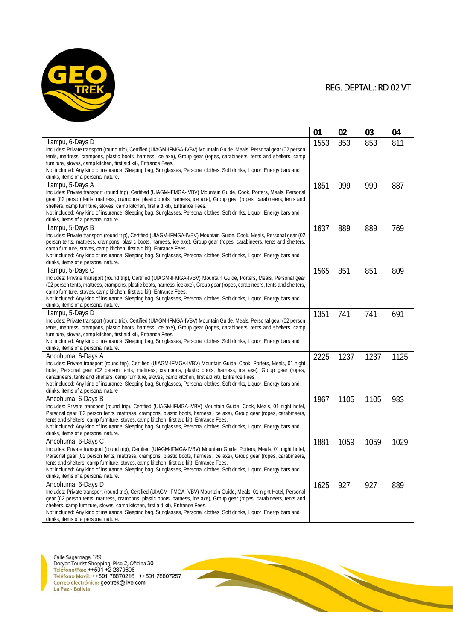

|                                                                                                                                                                                                                                                 | 01   | 02   | 03   | 04   |
|-------------------------------------------------------------------------------------------------------------------------------------------------------------------------------------------------------------------------------------------------|------|------|------|------|
| Illampu, 6-Days D                                                                                                                                                                                                                               | 1553 | 853  | 853  | 811  |
| Includes: Private transport (round trip), Certified (UIAGM-IFMGA-IVBV) Mountain Guide, Meals, Personal gear (02 person                                                                                                                          |      |      |      |      |
| tents, mattress, crampons, plastic boots, harness, ice axe), Group gear (ropes, carabineers, tents and shelters, camp                                                                                                                           |      |      |      |      |
| furniture, stoves, camp kitchen, first aid kit), Entrance Fees.                                                                                                                                                                                 |      |      |      |      |
| Not included: Any kind of insurance, Sleeping bag, Sunglasses, Personal clothes, Soft drinks, Liguor, Energy bars and                                                                                                                           |      |      |      |      |
| drinks, items of a personal nature.                                                                                                                                                                                                             |      |      |      |      |
| Illampu, 5-Days A                                                                                                                                                                                                                               | 1851 | 999  | 999  | 887  |
| Includes: Private transport (round trip), Certified (UIAGM-IFMGA-IVBV) Mountain Guide, Cook, Porters, Meals, Personal<br>gear (02 person tents, mattress, crampons, plastic boots, harness, ice axe), Group gear (ropes, carabineers, tents and |      |      |      |      |
| shelters, camp furniture, stoves, camp kitchen, first aid kit), Entrance Fees.                                                                                                                                                                  |      |      |      |      |
| Not included: Any kind of insurance, Sleeping bag, Sunglasses, Personal clothes, Soft drinks, Liguor, Energy bars and                                                                                                                           |      |      |      |      |
| drinks, items of a personal nature                                                                                                                                                                                                              |      |      |      |      |
| Illampu, 5-Days B                                                                                                                                                                                                                               | 1637 | 889  | 889  | 769  |
| Includes: Private transport (round trip), Certified (UIAGM-IFMGA-IVBV) Mountain Guide, Cook, Meals, Personal gear (02                                                                                                                           |      |      |      |      |
| person tents, mattress, crampons, plastic boots, harness, ice axe), Group gear (ropes, carabineers, tents and shelters,                                                                                                                         |      |      |      |      |
| camp furniture, stoves, camp kitchen, first aid kit), Entrance Fees.                                                                                                                                                                            |      |      |      |      |
| Not included: Any kind of insurance, Sleeping bag, Sunglasses, Personal clothes, Soft drinks, Liguor, Energy bars and                                                                                                                           |      |      |      |      |
| drinks, items of a personal nature.                                                                                                                                                                                                             |      |      |      |      |
| Illampu, 5-Days C                                                                                                                                                                                                                               | 1565 | 851  | 851  | 809  |
| Includes: Private transport (round trip), Certified (UIAGM-IFMGA-IVBV) Mountain Guide, Porters, Meals, Personal gear                                                                                                                            |      |      |      |      |
| (02 person tents, mattress, crampons, plastic boots, harness, ice axe), Group gear (ropes, carabineers, tents and shelters,                                                                                                                     |      |      |      |      |
| camp furniture, stoves, camp kitchen, first aid kit), Entrance Fees.<br>Not included: Any kind of insurance, Sleeping bag, Sunglasses, Personal clothes, Soft drinks, Liquor, Energy bars and                                                   |      |      |      |      |
| drinks, items of a personal nature.                                                                                                                                                                                                             |      |      |      |      |
| Illampu, 5-Days D                                                                                                                                                                                                                               | 1351 | 741  | 741  | 691  |
| Includes: Private transport (round trip), Certified (UIAGM-IFMGA-IVBV) Mountain Guide, Meals, Personal gear (02 person                                                                                                                          |      |      |      |      |
| tents, mattress, crampons, plastic boots, harness, ice axe), Group gear (ropes, carabineers, tents and shelters, camp                                                                                                                           |      |      |      |      |
| furniture, stoves, camp kitchen, first aid kit), Entrance Fees.                                                                                                                                                                                 |      |      |      |      |
| Not included: Any kind of insurance, Sleeping bag, Sunglasses, Personal clothes, Soft drinks, Liguor, Energy bars and                                                                                                                           |      |      |      |      |
| drinks, items of a personal nature.                                                                                                                                                                                                             |      |      |      |      |
| Ancohuma, 6-Days A                                                                                                                                                                                                                              | 2225 | 1237 | 1237 | 1125 |
| Includes: Private transport (round trip), Certified (UIAGM-IFMGA-IVBV) Mountain Guide, Cook, Porters, Meals, 01 night                                                                                                                           |      |      |      |      |
| hotel, Personal gear (02 person tents, mattress, crampons, plastic boots, harness, ice axe), Group gear (ropes,                                                                                                                                 |      |      |      |      |
| carabineers, tents and shelters, camp furniture, stoves, camp kitchen, first aid kit), Entrance Fees.                                                                                                                                           |      |      |      |      |
| Not included: Any kind of insurance, Sleeping bag, Sunglasses, Personal clothes, Soft drinks, Liguor, Energy bars and<br>drinks, items of a personal nature                                                                                     |      |      |      |      |
| Ancohuma, 6-Days B                                                                                                                                                                                                                              | 1967 | 1105 | 1105 | 983  |
| Includes: Private transport (round trip), Certified (UIAGM-IFMGA-IVBV) Mountain Guide, Cook, Meals, 01 night hotel,                                                                                                                             |      |      |      |      |
| Personal gear (02 person tents, mattress, crampons, plastic boots, harness, ice axe), Group gear (ropes, carabineers,                                                                                                                           |      |      |      |      |
| tents and shelters, camp furniture, stoves, camp kitchen, first aid kit), Entrance Fees.                                                                                                                                                        |      |      |      |      |
| Not included: Any kind of insurance, Sleeping bag, Sunglasses, Personal clothes, Soft drinks, Liguor, Energy bars and                                                                                                                           |      |      |      |      |
| drinks, items of a personal nature.                                                                                                                                                                                                             |      |      |      |      |
| Ancohuma, 6-Days C                                                                                                                                                                                                                              | 1881 | 1059 | 1059 | 1029 |
| Includes: Private transport (round trip), Certified (UIAGM-IFMGA-IVBV) Mountain Guide, Porters, Meals, 01 night hotel,                                                                                                                          |      |      |      |      |
| Personal gear (02 person tents, mattress, crampons, plastic boots, harness, ice axe), Group gear (ropes, carabineers,                                                                                                                           |      |      |      |      |
| tents and shelters, camp furniture, stoves, camp kitchen, first aid kit), Entrance Fees.                                                                                                                                                        |      |      |      |      |
| Not included: Any kind of insurance, Sleeping bag, Sunglasses, Personal clothes, Soft drinks, Liguor, Energy bars and<br>drinks, items of a personal nature.                                                                                    |      |      |      |      |
| Ancohuma, 6-Days D                                                                                                                                                                                                                              | 1625 | 927  | 927  | 889  |
| Includes: Private transport (round trip), Certified (UIAGM-IFMGA-IVBV) Mountain Guide, Meals, 01 night Hotel, Personal                                                                                                                          |      |      |      |      |
| gear (02 person tents, mattress, crampons, plastic boots, harness, ice axe), Group gear (ropes, carabineers, tents and                                                                                                                          |      |      |      |      |
| shelters, camp furniture, stoves, camp kitchen, first aid kit), Entrance Fees.                                                                                                                                                                  |      |      |      |      |
| Not included: Any kind of insurance, Sleeping bag, Sunglasses, Personal clothes, Soft drinks, Liquor, Energy bars and                                                                                                                           |      |      |      |      |
| drinks, items of a personal nature.                                                                                                                                                                                                             |      |      |      |      |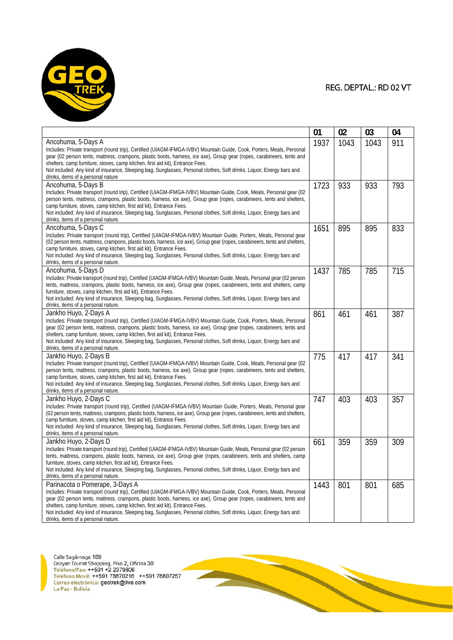

|                                                                                                                                                                                                          | 01   | 02   | 03   | 04  |
|----------------------------------------------------------------------------------------------------------------------------------------------------------------------------------------------------------|------|------|------|-----|
| Ancohuma, 5-Days A                                                                                                                                                                                       | 1937 | 1043 | 1043 | 911 |
| Includes: Private transport (round trip), Certified (UIAGM-IFMGA-IVBV) Mountain Guide, Cook, Porters, Meals, Personal                                                                                    |      |      |      |     |
| gear (02 person tents, mattress, crampons, plastic boots, harness, ice axe), Group gear (ropes, carabineers, tents and                                                                                   |      |      |      |     |
| shelters, camp furniture, stoves, camp kitchen, first aid kit), Entrance Fees.                                                                                                                           |      |      |      |     |
| Not included: Any kind of insurance, Sleeping bag, Sunglasses, Personal clothes, Soft drinks, Liquor, Energy bars and<br>drinks, items of a personal nature                                              |      |      |      |     |
| Ancohuma, 5-Days B                                                                                                                                                                                       | 1723 | 933  | 933  | 793 |
| Includes: Private transport (round trip), Certified (UIAGM-IFMGA-IVBV) Mountain Guide, Cook, Meals, Personal gear (02                                                                                    |      |      |      |     |
| person tents, mattress, crampons, plastic boots, harness, ice axe), Group gear (ropes, carabineers, tents and shelters,                                                                                  |      |      |      |     |
| camp furniture, stoves, camp kitchen, first aid kit), Entrance Fees.                                                                                                                                     |      |      |      |     |
| Not included: Any kind of insurance, Sleeping bag, Sunglasses, Personal clothes, Soft drinks, Liguor, Energy bars and                                                                                    |      |      |      |     |
| drinks, items of a personal nature.                                                                                                                                                                      |      |      |      |     |
| Ancohuma, 5-Days C                                                                                                                                                                                       | 1651 | 895  | 895  | 833 |
| Includes: Private transport (round trip), Certified (UIAGM-IFMGA-IVBV) Mountain Guide, Porters, Meals, Personal gear                                                                                     |      |      |      |     |
| (02 person tents, mattress, crampons, plastic boots, harness, ice axe), Group gear (ropes, carabineers, tents and shelters,                                                                              |      |      |      |     |
| camp furniture, stoves, camp kitchen, first aid kit), Entrance Fees.<br>Not included: Any kind of insurance, Sleeping bag, Sunglasses, Personal clothes, Soft drinks, Liguor, Energy bars and            |      |      |      |     |
| drinks, items of a personal nature.                                                                                                                                                                      |      |      |      |     |
| Ancohuma, 5-Days D                                                                                                                                                                                       | 1437 | 785  | 785  | 715 |
| Includes: Private transport (round trip), Certified (UIAGM-IFMGA-IVBV) Mountain Guide, Meals, Personal gear (02 person                                                                                   |      |      |      |     |
| tents, mattress, crampons, plastic boots, harness, ice axe), Group gear (ropes, carabineers, tents and shelters, camp                                                                                    |      |      |      |     |
| furniture, stoves, camp kitchen, first aid kit), Entrance Fees.                                                                                                                                          |      |      |      |     |
| Not included: Any kind of insurance, Sleeping bag, Sunglasses, Personal clothes, Soft drinks, Liquor, Energy bars and                                                                                    |      |      |      |     |
| drinks, items of a personal nature.                                                                                                                                                                      |      |      |      |     |
| Jankho Huyo, 2-Days A                                                                                                                                                                                    | 861  | 461  | 461  | 387 |
| Includes: Private transport (round trip), Certified (UIAGM-IFMGA-IVBV) Mountain Guide, Cook, Porters, Meals, Personal                                                                                    |      |      |      |     |
| gear (02 person tents, mattress, crampons, plastic boots, harness, ice axe), Group gear (ropes, carabineers, tents and                                                                                   |      |      |      |     |
| shelters, camp furniture, stoves, camp kitchen, first aid kit), Entrance Fees.<br>Not included: Any kind of insurance, Sleeping bag, Sunglasses, Personal clothes, Soft drinks, Liquor, Energy bars and  |      |      |      |     |
| drinks, items of a personal nature.                                                                                                                                                                      |      |      |      |     |
| Jankho Huyo, 2-Days B                                                                                                                                                                                    | 775  | 417  | 417  | 341 |
| Includes: Private transport (round trip), Certified (UIAGM-IFMGA-IVBV) Mountain Guide, Cook, Meals, Personal gear (02                                                                                    |      |      |      |     |
| person tents, mattress, crampons, plastic boots, harness, ice axe), Group gear (ropes, carabineers, tents and shelters,                                                                                  |      |      |      |     |
| camp furniture, stoves, camp kitchen, first aid kit), Entrance Fees.                                                                                                                                     |      |      |      |     |
| Not included: Any kind of insurance, Sleeping bag, Sunglasses, Personal clothes, Soft drinks, Liguor, Energy bars and                                                                                    |      |      |      |     |
| drinks, items of a personal nature.                                                                                                                                                                      |      |      |      |     |
| Jankho Huyo, 2-Days C                                                                                                                                                                                    | 747  | 403  | 403  | 357 |
| Includes: Private transport (round trip), Certified (UIAGM-IFMGA-IVBV) Mountain Guide, Porters, Meals, Personal gear                                                                                     |      |      |      |     |
| (02 person tents, mattress, crampons, plastic boots, harness, ice axe), Group gear (ropes, carabineers, tents and shelters,                                                                              |      |      |      |     |
| camp furniture, stoves, camp kitchen, first aid kit), Entrance Fees.<br>Not included: Any kind of insurance, Sleeping bag, Sunglasses, Personal clothes, Soft drinks, Liguor, Energy bars and            |      |      |      |     |
| drinks, items of a personal nature.                                                                                                                                                                      |      |      |      |     |
| Jankho Huyo, 2-Days D                                                                                                                                                                                    | 661  | 359  | 359  | 309 |
| Includes: Private transport (round trip), Certified (UIAGM-IFMGA-IVBV) Mountain Guide, Meals, Personal gear (02 person                                                                                   |      |      |      |     |
| tents, mattress, crampons, plastic boots, harness, ice axe), Group gear (ropes, carabineers, tents and shelters, camp                                                                                    |      |      |      |     |
| furniture, stoves, camp kitchen, first aid kit), Entrance Fees.                                                                                                                                          |      |      |      |     |
| Not included: Any kind of insurance, Sleeping bag, Sunglasses, Personal clothes, Soft drinks, Liguor, Energy bars and                                                                                    |      |      |      |     |
| drinks, items of a personal nature.                                                                                                                                                                      |      |      |      |     |
| Parinacota o Pomerape, 3-Days A                                                                                                                                                                          | 1443 | 801  | 801  | 685 |
| Includes: Private transport (round trip), Certified (UIAGM-IFMGA-IVBV) Mountain Guide, Cook, Porters, Meals, Personal                                                                                    |      |      |      |     |
| gear (02 person tents, mattress, crampons, plastic boots, harness, ice axe), Group gear (ropes, carabineers, tents and<br>shelters, camp furniture, stoves, camp kitchen, first aid kit), Entrance Fees. |      |      |      |     |
| Not included: Any kind of insurance, Sleeping bag, Sunglasses, Personal clothes, Soft drinks, Liquor, Energy bars and                                                                                    |      |      |      |     |
| drinks, items of a personal nature.                                                                                                                                                                      |      |      |      |     |